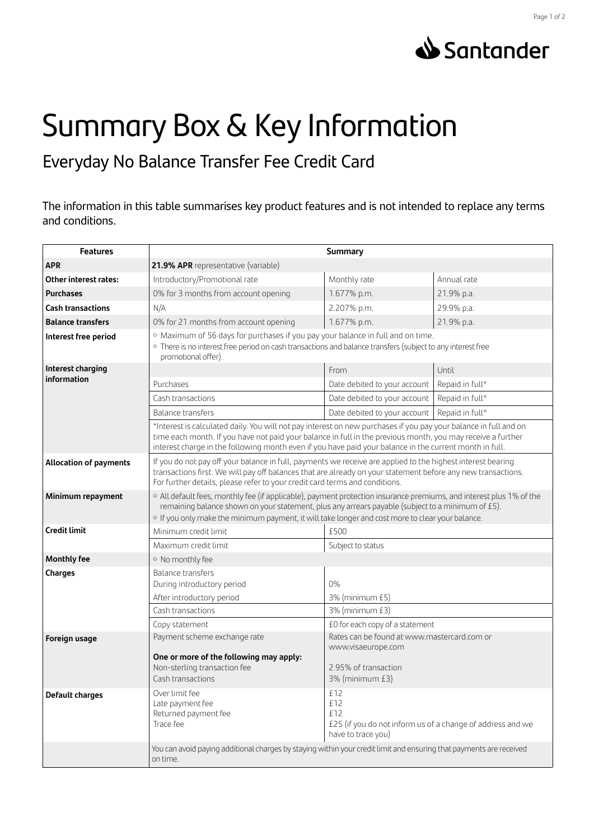



## Summary Box & Key Information

Everyday No Balance Transfer Fee Credit Card

The information in this table summarises key product features and is not intended to replace any terms and conditions.

| <b>Features</b>                  | <b>Summary</b>                                                                                                                                                                                                                                                                                                                             |                                                                                                       |                 |
|----------------------------------|--------------------------------------------------------------------------------------------------------------------------------------------------------------------------------------------------------------------------------------------------------------------------------------------------------------------------------------------|-------------------------------------------------------------------------------------------------------|-----------------|
| <b>APR</b>                       | 21.9% APR representative (variable)                                                                                                                                                                                                                                                                                                        |                                                                                                       |                 |
| Other interest rates:            | Introductory/Promotional rate                                                                                                                                                                                                                                                                                                              | Monthly rate                                                                                          | Annual rate     |
| <b>Purchases</b>                 | 0% for 3 months from account opening                                                                                                                                                                                                                                                                                                       | 1.677% p.m.                                                                                           | 21.9% p.a.      |
| <b>Cash transactions</b>         | N/A                                                                                                                                                                                                                                                                                                                                        | 2.207% p.m.                                                                                           | 29.9% p.a.      |
| <b>Balance transfers</b>         | 0% for 21 months from account opening                                                                                                                                                                                                                                                                                                      | 1.677% p.m.                                                                                           | 21.9% p.a.      |
| Interest free period             | · Maximum of 56 days for purchases if you pay your balance in full and on time.<br>· There is no interest free period on cash transactions and balance transfers (subject to any interest free<br>promotional offer).                                                                                                                      |                                                                                                       |                 |
| Interest charging<br>information |                                                                                                                                                                                                                                                                                                                                            | From                                                                                                  | Until           |
|                                  | Purchases                                                                                                                                                                                                                                                                                                                                  | Date debited to your account                                                                          | Repaid in full* |
|                                  | Cash transactions                                                                                                                                                                                                                                                                                                                          | Date debited to your account                                                                          | Repaid in full* |
|                                  | Balance transfers                                                                                                                                                                                                                                                                                                                          | Date debited to your account                                                                          | Repaid in full* |
|                                  | *Interest is calculated daily. You will not pay interest on new purchases if you pay your balance in full and on<br>time each month. If you have not paid your balance in full in the previous month, you may receive a further<br>interest charge in the following month even if you have paid your balance in the current month in full. |                                                                                                       |                 |
| <b>Allocation of payments</b>    | If you do not pay off your balance in full, payments we receive are applied to the highest interest bearing<br>transactions first. We will pay off balances that are already on your statement before any new transactions.<br>For further details, please refer to your credit card terms and conditions.                                 |                                                                                                       |                 |
| Minimum repayment                | o All default fees, monthly fee (if applicable), payment protection insurance premiums, and interest plus 1% of the<br>remaining balance shown on your statement, plus any arrears payable (subject to a minimum of £5).<br>o If you only make the minimum payment, it will take longer and cost more to clear your balance.               |                                                                                                       |                 |
| <b>Credit limit</b>              | Minimum credit limit                                                                                                                                                                                                                                                                                                                       | £500                                                                                                  |                 |
|                                  | Maximum credit limit                                                                                                                                                                                                                                                                                                                       | Subject to status                                                                                     |                 |
| <b>Monthly fee</b>               | · No monthly fee                                                                                                                                                                                                                                                                                                                           |                                                                                                       |                 |
| Charges                          | <b>Balance transfers</b>                                                                                                                                                                                                                                                                                                                   |                                                                                                       |                 |
|                                  | During introductory period                                                                                                                                                                                                                                                                                                                 | 0%                                                                                                    |                 |
|                                  | After introductory period                                                                                                                                                                                                                                                                                                                  | 3% (minimum £5)                                                                                       |                 |
|                                  | Cash transactions                                                                                                                                                                                                                                                                                                                          | 3% (minimum £3)                                                                                       |                 |
|                                  | Copy statement                                                                                                                                                                                                                                                                                                                             | £0 for each copy of a statement                                                                       |                 |
| Foreign usage                    | Payment scheme exchange rate                                                                                                                                                                                                                                                                                                               | Rates can be found at www.mastercard.com or                                                           |                 |
|                                  | One or more of the following may apply:<br>Non-sterling transaction fee<br>Cash transactions                                                                                                                                                                                                                                               | www.visaeurope.com<br>2.95% of transaction<br>3% (minimum £3)                                         |                 |
| Default charges                  | Over limit fee<br>Late payment fee<br>Returned payment fee<br>Trace fee                                                                                                                                                                                                                                                                    | £12<br>£12<br>£12<br>£25 (if you do not inform us of a change of address and we<br>have to trace you) |                 |
|                                  | You can avoid paying additional charges by staying within your credit limit and ensuring that payments are received<br>on time.                                                                                                                                                                                                            |                                                                                                       |                 |